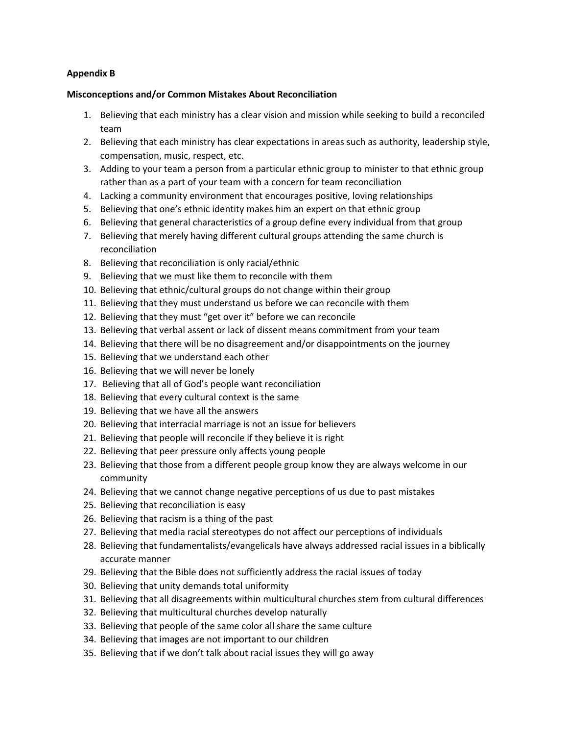## **Appendix B**

## **Misconceptions and/or Common Mistakes About Reconciliation**

- 1. Believing that each ministry has a clear vision and mission while seeking to build a reconciled team
- 2. Believing that each ministry has clear expectations in areas such as authority, leadership style, compensation, music, respect, etc.
- 3. Adding to your team a person from a particular ethnic group to minister to that ethnic group rather than as a part of your team with a concern for team reconciliation
- 4. Lacking a community environment that encourages positive, loving relationships
- 5. Believing that one's ethnic identity makes him an expert on that ethnic group
- 6. Believing that general characteristics of a group define every individual from that group
- 7. Believing that merely having different cultural groups attending the same church is reconciliation
- 8. Believing that reconciliation is only racial/ethnic
- 9. Believing that we must like them to reconcile with them
- 10. Believing that ethnic/cultural groups do not change within their group
- 11. Believing that they must understand us before we can reconcile with them
- 12. Believing that they must "get over it" before we can reconcile
- 13. Believing that verbal assent or lack of dissent means commitment from your team
- 14. Believing that there will be no disagreement and/or disappointments on the journey
- 15. Believing that we understand each other
- 16. Believing that we will never be lonely
- 17. Believing that all of God's people want reconciliation
- 18. Believing that every cultural context is the same
- 19. Believing that we have all the answers
- 20. Believing that interracial marriage is not an issue for believers
- 21. Believing that people will reconcile if they believe it is right
- 22. Believing that peer pressure only affects young people
- 23. Believing that those from a different people group know they are always welcome in our community
- 24. Believing that we cannot change negative perceptions of us due to past mistakes
- 25. Believing that reconciliation is easy
- 26. Believing that racism is a thing of the past
- 27. Believing that media racial stereotypes do not affect our perceptions of individuals
- 28. Believing that fundamentalists/evangelicals have always addressed racial issues in a biblically accurate manner
- 29. Believing that the Bible does not sufficiently address the racial issues of today
- 30. Believing that unity demands total uniformity
- 31. Believing that all disagreements within multicultural churches stem from cultural differences
- 32. Believing that multicultural churches develop naturally
- 33. Believing that people of the same color all share the same culture
- 34. Believing that images are not important to our children
- 35. Believing that if we don't talk about racial issues they will go away